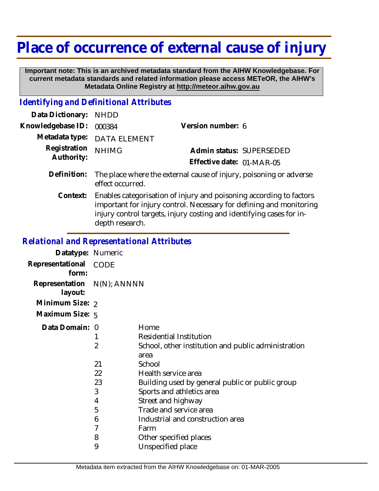## **Place of occurrence of external cause of injury**

 **Important note: This is an archived metadata standard from the AIHW Knowledgebase. For current metadata standards and related information please access METeOR, the AIHW's Metadata Online Registry at http://meteor.aihw.gov.au**

## *Identifying and Definitional Attributes*

| Data Dictionary:           | <b>NHDD</b>                                                                                                                                                                                                                           |                           |
|----------------------------|---------------------------------------------------------------------------------------------------------------------------------------------------------------------------------------------------------------------------------------|---------------------------|
| Knowledgebase ID:          | 000384                                                                                                                                                                                                                                | Version number: 6         |
| Metadata type:             | <b>DATA ELEMENT</b>                                                                                                                                                                                                                   |                           |
| Registration<br>Authority: | <b>NHIMG</b>                                                                                                                                                                                                                          | Admin status: SUPERSEDED  |
|                            |                                                                                                                                                                                                                                       | Effective date: 01-MAR-05 |
| Definition:                | The place where the external cause of injury, poisoning or adverse<br>effect occurred.                                                                                                                                                |                           |
| Context:                   | Enables categorisation of injury and poisoning according to factors<br>important for injury control. Necessary for defining and monitoring<br>injury control targets, injury costing and identifying cases for in-<br>depth research. |                           |
|                            |                                                                                                                                                                                                                                       |                           |

## *Relational and Representational Attributes*

| Datatype: Numeric         |                                         |                                                                                                                                                                                                                                                                                                     |
|---------------------------|-----------------------------------------|-----------------------------------------------------------------------------------------------------------------------------------------------------------------------------------------------------------------------------------------------------------------------------------------------------|
| Representational<br>form: | CODE                                    |                                                                                                                                                                                                                                                                                                     |
| Representation<br>layout: | $N(N)$ ; $\land NNNN$                   |                                                                                                                                                                                                                                                                                                     |
| Minimum Size: 2           |                                         |                                                                                                                                                                                                                                                                                                     |
| Maximum Size: 5           |                                         |                                                                                                                                                                                                                                                                                                     |
| Data Domain: 0            | 2<br>21<br>22<br>23<br>3<br>4<br>5<br>6 | Home<br>Residential Institution<br>School, other institution and public administration<br>area<br>School<br>Health service area<br>Building used by general public or public group<br>Sports and athletics area<br>Street and highway<br>Trade and service area<br>Industrial and construction area |
|                           | 7<br>8<br>9                             | Farm<br>Other specified places<br>Unspecified place                                                                                                                                                                                                                                                 |
|                           |                                         |                                                                                                                                                                                                                                                                                                     |